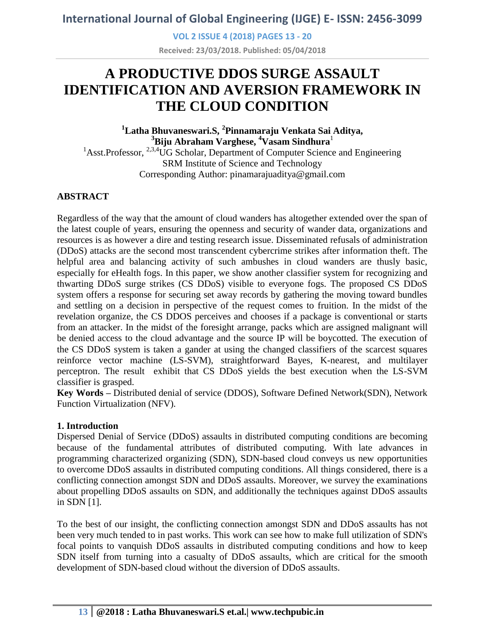**VOL 2 ISSUE 4 (2018) PAGES 13 - 20**

**Received: 23/03/2018. Published: 05/04/2018**

# **A PRODUCTIVE DDOS SURGE ASSAULT IDENTIFICATION AND AVERSION FRAMEWORK IN THE CLOUD CONDITION**

## **<sup>1</sup>Latha Bhuvaneswari.S, <sup>2</sup> Pinnamaraju Venkata Sai Aditya, <sup>3</sup>Biju Abraham Varghese, <sup>4</sup>Vasam Sindhura**<sup>1</sup>

<sup>1</sup>Asst.Professor,  $2.3.4$ UG Scholar, Department of Computer Science and Engineering SRM Institute of Science and Technology Corresponding Author: pinamarajuaditya@gmail.com

### **ABSTRACT**

Regardless of the way that the amount of cloud wanders has altogether extended over the span of the latest couple of years, ensuring the openness and security of wander data, organizations and resources is as however a dire and testing research issue. Disseminated refusals of administration (DDoS) attacks are the second most transcendent cybercrime strikes after information theft. The helpful area and balancing activity of such ambushes in cloud wanders are thusly basic, especially for eHealth fogs. In this paper, we show another classifier system for recognizing and thwarting DDoS surge strikes (CS DDoS) visible to everyone fogs. The proposed CS DDoS system offers a response for securing set away records by gathering the moving toward bundles and settling on a decision in perspective of the request comes to fruition. In the midst of the revelation organize, the CS DDOS perceives and chooses if a package is conventional or starts from an attacker. In the midst of the foresight arrange, packs which are assigned malignant will be denied access to the cloud advantage and the source IP will be boycotted. The execution of the CS DDoS system is taken a gander at using the changed classifiers of the scarcest squares reinforce vector machine (LS-SVM), straightforward Bayes, K-nearest, and multilayer perceptron. The result exhibit that CS DDoS yields the best execution when the LS-SVM classifier is grasped.

**Key Words –** Distributed denial of service (DDOS), Software Defined Network(SDN), Network Function Virtualization (NFV).

### **1. Introduction**

Dispersed Denial of Service (DDoS) assaults in distributed computing conditions are becoming because of the fundamental attributes of distributed computing. With late advances in programming characterized organizing (SDN), SDN-based cloud conveys us new opportunities to overcome DDoS assaults in distributed computing conditions. All things considered, there is a conflicting connection amongst SDN and DDoS assaults. Moreover, we survey the examinations about propelling DDoS assaults on SDN, and additionally the techniques against DDoS assaults in SDN [1].

To the best of our insight, the conflicting connection amongst SDN and DDoS assaults has not been very much tended to in past works. This work can see how to make full utilization of SDN's focal points to vanquish DDoS assaults in distributed computing conditions and how to keep SDN itself from turning into a casualty of DDoS assaults, which are critical for the smooth development of SDN-based cloud without the diversion of DDoS assaults.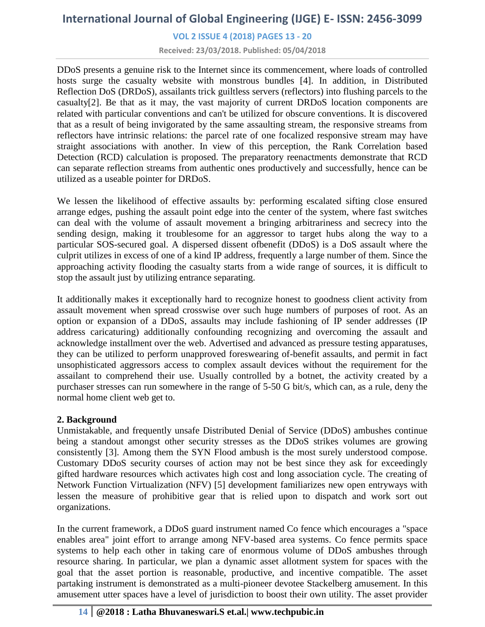### **VOL 2 ISSUE 4 (2018) PAGES 13 - 20**

**Received: 23/03/2018. Published: 05/04/2018**

DDoS presents a genuine risk to the Internet since its commencement, where loads of controlled hosts surge the casualty website with monstrous bundles [4]. In addition, in Distributed Reflection DoS (DRDoS), assailants trick guiltless servers (reflectors) into flushing parcels to the casualty[2]. Be that as it may, the vast majority of current DRDoS location components are related with particular conventions and can't be utilized for obscure conventions. It is discovered that as a result of being invigorated by the same assaulting stream, the responsive streams from reflectors have intrinsic relations: the parcel rate of one focalized responsive stream may have straight associations with another. In view of this perception, the Rank Correlation based Detection (RCD) calculation is proposed. The preparatory reenactments demonstrate that RCD can separate reflection streams from authentic ones productively and successfully, hence can be utilized as a useable pointer for DRDoS.

We lessen the likelihood of effective assaults by: performing escalated sifting close ensured arrange edges, pushing the assault point edge into the center of the system, where fast switches can deal with the volume of assault movement a bringing arbitrariness and secrecy into the sending design, making it troublesome for an aggressor to target hubs along the way to a particular SOS-secured goal. A dispersed dissent ofbenefit (DDoS) is a DoS assault where the culprit utilizes in excess of one of a kind IP address, frequently a large number of them. Since the approaching activity flooding the casualty starts from a wide range of sources, it is difficult to stop the assault just by utilizing entrance separating.

It additionally makes it exceptionally hard to recognize honest to goodness client activity from assault movement when spread crosswise over such huge numbers of purposes of root. As an option or expansion of a DDoS, assaults may include fashioning of IP sender addresses (IP address caricaturing) additionally confounding recognizing and overcoming the assault and acknowledge installment over the web. Advertised and advanced as pressure testing apparatuses, they can be utilized to perform unapproved foreswearing of-benefit assaults, and permit in fact unsophisticated aggressors access to complex assault devices without the requirement for the assailant to comprehend their use. Usually controlled by a botnet, the activity created by a purchaser stresses can run somewhere in the range of 5-50 G bit/s, which can, as a rule, deny the normal home client web get to.

### **2. Background**

Unmistakable, and frequently unsafe Distributed Denial of Service (DDoS) ambushes continue being a standout amongst other security stresses as the DDoS strikes volumes are growing consistently [3]. Among them the SYN Flood ambush is the most surely understood compose. Customary DDoS security courses of action may not be best since they ask for exceedingly gifted hardware resources which activates high cost and long association cycle. The creating of Network Function Virtualization (NFV) [5] development familiarizes new open entryways with lessen the measure of prohibitive gear that is relied upon to dispatch and work sort out organizations.

In the current framework, a DDoS guard instrument named Co fence which encourages a "space enables area" joint effort to arrange among NFV-based area systems. Co fence permits space systems to help each other in taking care of enormous volume of DDoS ambushes through resource sharing. In particular, we plan a dynamic asset allotment system for spaces with the goal that the asset portion is reasonable, productive, and incentive compatible. The asset partaking instrument is demonstrated as a multi-pioneer devotee Stackelberg amusement. In this amusement utter spaces have a level of jurisdiction to boost their own utility. The asset provider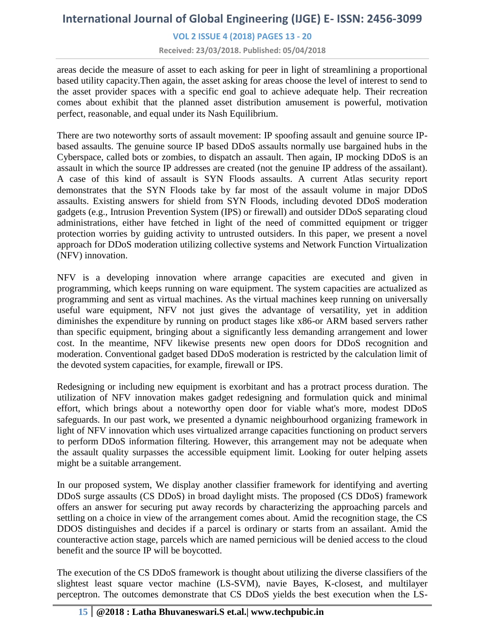### **VOL 2 ISSUE 4 (2018) PAGES 13 - 20**

**Received: 23/03/2018. Published: 05/04/2018**

areas decide the measure of asset to each asking for peer in light of streamlining a proportional based utility capacity.Then again, the asset asking for areas choose the level of interest to send to the asset provider spaces with a specific end goal to achieve adequate help. Their recreation comes about exhibit that the planned asset distribution amusement is powerful, motivation perfect, reasonable, and equal under its Nash Equilibrium.

There are two noteworthy sorts of assault movement: IP spoofing assault and genuine source IPbased assaults. The genuine source IP based DDoS assaults normally use bargained hubs in the Cyberspace, called bots or zombies, to dispatch an assault. Then again, IP mocking DDoS is an assault in which the source IP addresses are created (not the genuine IP address of the assailant). A case of this kind of assault is SYN Floods assaults. A current Atlas security report demonstrates that the SYN Floods take by far most of the assault volume in major DDoS assaults. Existing answers for shield from SYN Floods, including devoted DDoS moderation gadgets (e.g., Intrusion Prevention System (IPS) or firewall) and outsider DDoS separating cloud administrations, either have fetched in light of the need of committed equipment or trigger protection worries by guiding activity to untrusted outsiders. In this paper, we present a novel approach for DDoS moderation utilizing collective systems and Network Function Virtualization (NFV) innovation.

NFV is a developing innovation where arrange capacities are executed and given in programming, which keeps running on ware equipment. The system capacities are actualized as programming and sent as virtual machines. As the virtual machines keep running on universally useful ware equipment, NFV not just gives the advantage of versatility, yet in addition diminishes the expenditure by running on product stages like x86-or ARM based servers rather than specific equipment, bringing about a significantly less demanding arrangement and lower cost. In the meantime, NFV likewise presents new open doors for DDoS recognition and moderation. Conventional gadget based DDoS moderation is restricted by the calculation limit of the devoted system capacities, for example, firewall or IPS.

Redesigning or including new equipment is exorbitant and has a protract process duration. The utilization of NFV innovation makes gadget redesigning and formulation quick and minimal effort, which brings about a noteworthy open door for viable what's more, modest DDoS safeguards. In our past work, we presented a dynamic neighbourhood organizing framework in light of NFV innovation which uses virtualized arrange capacities functioning on product servers to perform DDoS information filtering. However, this arrangement may not be adequate when the assault quality surpasses the accessible equipment limit. Looking for outer helping assets might be a suitable arrangement.

In our proposed system, We display another classifier framework for identifying and averting DDoS surge assaults (CS DDoS) in broad daylight mists. The proposed (CS DDoS) framework offers an answer for securing put away records by characterizing the approaching parcels and settling on a choice in view of the arrangement comes about. Amid the recognition stage, the CS DDOS distinguishes and decides if a parcel is ordinary or starts from an assailant. Amid the counteractive action stage, parcels which are named pernicious will be denied access to the cloud benefit and the source IP will be boycotted.

The execution of the CS DDoS framework is thought about utilizing the diverse classifiers of the slightest least square vector machine (LS-SVM), navie Bayes, K-closest, and multilayer perceptron. The outcomes demonstrate that CS DDoS yields the best execution when the LS-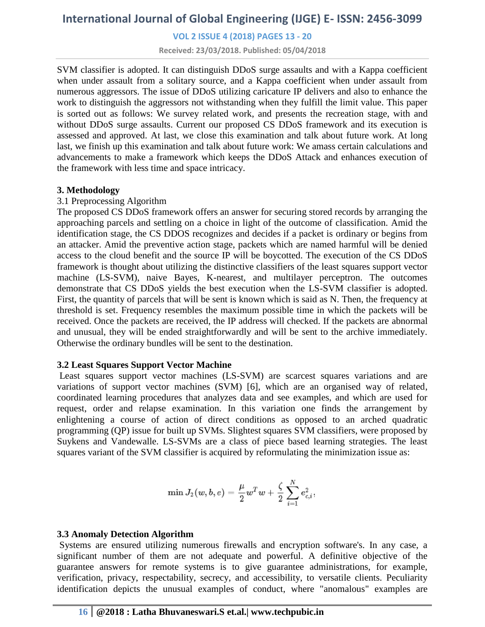### **VOL 2 ISSUE 4 (2018) PAGES 13 - 20**

**Received: 23/03/2018. Published: 05/04/2018**

SVM classifier is adopted. It can distinguish DDoS surge assaults and with a Kappa coefficient when under assault from a solitary source, and a Kappa coefficient when under assault from numerous aggressors. The issue of DDoS utilizing caricature IP delivers and also to enhance the work to distinguish the aggressors not withstanding when they fulfill the limit value. This paper is sorted out as follows: We survey related work, and presents the recreation stage, with and without DDoS surge assaults. Current our proposed CS DDoS framework and its execution is assessed and approved. At last, we close this examination and talk about future work. At long last, we finish up this examination and talk about future work: We amass certain calculations and advancements to make a framework which keeps the DDoS Attack and enhances execution of the framework with less time and space intricacy.

### **3. Methodology**

### 3.1 Preprocessing Algorithm

The proposed CS DDoS framework offers an answer for securing stored records by arranging the approaching parcels and settling on a choice in light of the outcome of classification. Amid the identification stage, the CS DDOS recognizes and decides if a packet is ordinary or begins from an attacker. Amid the preventive action stage, packets which are named harmful will be denied access to the cloud benefit and the source IP will be boycotted. The execution of the CS DDoS framework is thought about utilizing the distinctive classifiers of the least squares support vector machine (LS-SVM), naive Bayes, K-nearest, and multilayer perceptron. The outcomes demonstrate that CS DDoS yields the best execution when the LS-SVM classifier is adopted. First, the quantity of parcels that will be sent is known which is said as N. Then, the frequency at threshold is set. Frequency resembles the maximum possible time in which the packets will be received. Once the packets are received, the IP address will checked. If the packets are abnormal and unusual, they will be ended straightforwardly and will be sent to the archive immediately. Otherwise the ordinary bundles will be sent to the destination.

### **3.2 Least Squares Support Vector Machine**

Least squares support vector machines (LS-SVM) are scarcest squares variations and are variations of support vector machines (SVM) [6], which are an organised way of related, coordinated learning procedures that analyzes data and see examples, and which are used for request, order and relapse examination. In this variation one finds the arrangement by enlightening a course of action of direct conditions as opposed to an arched quadratic programming (QP) issue for built up SVMs. Slightest squares SVM classifiers, were proposed by Suykens and Vandewalle. LS-SVMs are a class of piece based learning strategies. The least squares variant of the SVM classifier is acquired by reformulating the minimization issue as:

$$
\min J_2(w,b,e) = \frac{\mu}{2} w^Tw + \frac{\zeta}{2} \sum_{i=1}^N e_{c,i}^2,
$$

### **3.3 Anomaly Detection Algorithm**

Systems are ensured utilizing numerous firewalls and encryption software's. In any case, a significant number of them are not adequate and powerful. A definitive objective of the guarantee answers for remote systems is to give guarantee administrations, for example, verification, privacy, respectability, secrecy, and accessibility, to versatile clients. Peculiarity identification depicts the unusual examples of conduct, where "anomalous" examples are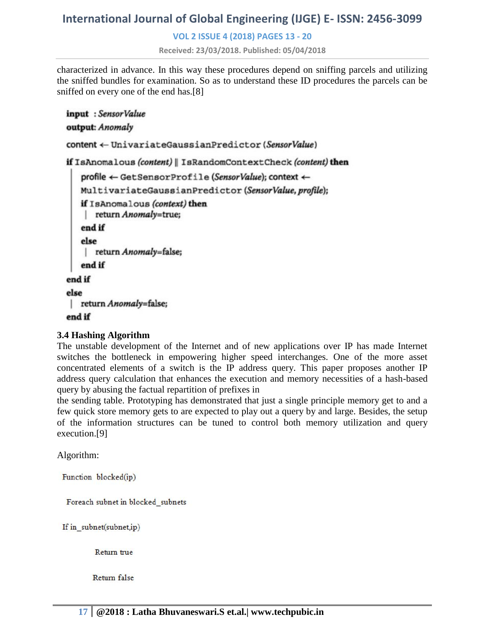### **VOL 2 ISSUE 4 (2018) PAGES 13 - 20**

**Received: 23/03/2018. Published: 05/04/2018**

characterized in advance. In this way these procedures depend on sniffing parcels and utilizing the sniffed bundles for examination. So as to understand these ID procedures the parcels can be sniffed on every one of the end has.[8]

```
input : SensorValue
output: Anomaly
content ← UnivariateGaussianPredictor(SensorValue)
if IsAnomalous (content) | IsRandomContextCheck (content) then
   profile ← GetSensorProfile (SensorValue); context ←
   MultivariateGaussianPredictor (SensorValue, profile);
   if IsAnomalous (context) then
    | return Anomaly=true;
   end if
   else
    | return Anomaly=false;
   end if
end if
else
return Anomaly=false;
end if
```
### **3.4 Hashing Algorithm**

The unstable development of the Internet and of new applications over IP has made Internet switches the bottleneck in empowering higher speed interchanges. One of the more asset concentrated elements of a switch is the IP address query. This paper proposes another IP address query calculation that enhances the execution and memory necessities of a hash-based query by abusing the factual repartition of prefixes in

the sending table. Prototyping has demonstrated that just a single principle memory get to and a few quick store memory gets to are expected to play out a query by and large. Besides, the setup of the information structures can be tuned to control both memory utilization and query execution.[9]

Algorithm:

Function blocked(ip)

Foreach subnet in blocked subnets

If in\_subnet(subnet,ip)

Return true

Return false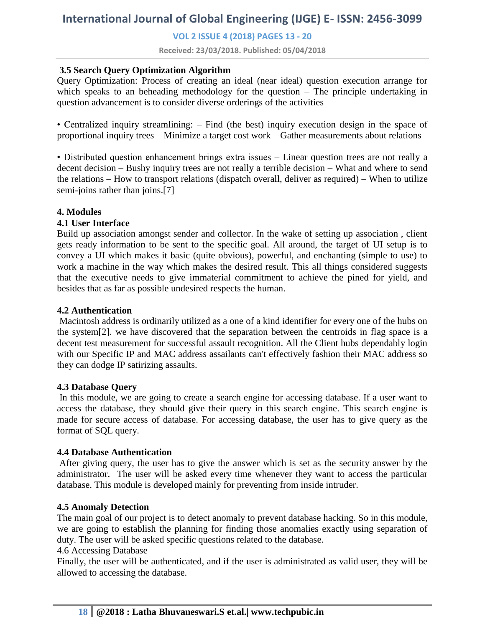**VOL 2 ISSUE 4 (2018) PAGES 13 - 20**

**Received: 23/03/2018. Published: 05/04/2018**

### **3.5 Search Query Optimization Algorithm**

Query Optimization: Process of creating an ideal (near ideal) question execution arrange for which speaks to an beheading methodology for the question – The principle undertaking in question advancement is to consider diverse orderings of the activities

• Centralized inquiry streamlining: – Find (the best) inquiry execution design in the space of proportional inquiry trees – Minimize a target cost work – Gather measurements about relations

• Distributed question enhancement brings extra issues – Linear question trees are not really a decent decision – Bushy inquiry trees are not really a terrible decision – What and where to send the relations – How to transport relations (dispatch overall, deliver as required) – When to utilize semi-joins rather than joins.[7]

### **4. Modules**

### **4.1 User Interface**

Build up association amongst sender and collector. In the wake of setting up association , client gets ready information to be sent to the specific goal. All around, the target of UI setup is to convey a UI which makes it basic (quite obvious), powerful, and enchanting (simple to use) to work a machine in the way which makes the desired result. This all things considered suggests that the executive needs to give immaterial commitment to achieve the pined for yield, and besides that as far as possible undesired respects the human.

### **4.2 Authentication**

Macintosh address is ordinarily utilized as a one of a kind identifier for every one of the hubs on the system[2]. we have discovered that the separation between the centroids in flag space is a decent test measurement for successful assault recognition. All the Client hubs dependably login with our Specific IP and MAC address assailants can't effectively fashion their MAC address so they can dodge IP satirizing assaults.

### **4.3 Database Query**

In this module, we are going to create a search engine for accessing database. If a user want to access the database, they should give their query in this search engine. This search engine is made for secure access of database. For accessing database, the user has to give query as the format of SQL query.

### **4.4 Database Authentication**

After giving query, the user has to give the answer which is set as the security answer by the administrator. The user will be asked every time whenever they want to access the particular database. This module is developed mainly for preventing from inside intruder.

### **4.5 Anomaly Detection**

The main goal of our project is to detect anomaly to prevent database hacking. So in this module, we are going to establish the planning for finding those anomalies exactly using separation of duty. The user will be asked specific questions related to the database.

#### 4.6 Accessing Database

Finally, the user will be authenticated, and if the user is administrated as valid user, they will be allowed to accessing the database.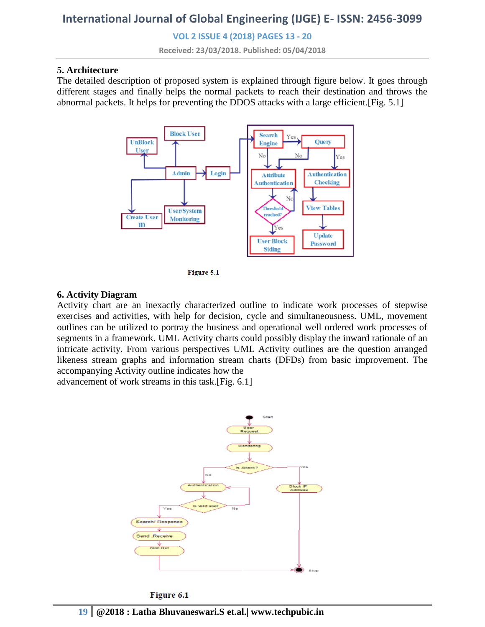**VOL 2 ISSUE 4 (2018) PAGES 13 - 20**

**Received: 23/03/2018. Published: 05/04/2018**

### **5. Architecture**

The detailed description of proposed system is explained through figure below. It goes through different stages and finally helps the normal packets to reach their destination and throws the abnormal packets. It helps for preventing the DDOS attacks with a large efficient.[Fig. 5.1]





#### **6. Activity Diagram**

Activity chart are an inexactly characterized outline to indicate work processes of stepwise exercises and activities, with help for decision, cycle and simultaneousness. UML, movement outlines can be utilized to portray the business and operational well ordered work processes of segments in a framework. UML Activity charts could possibly display the inward rationale of an intricate activity. From various perspectives UML Activity outlines are the question arranged likeness stream graphs and information stream charts (DFDs) from basic improvement. The accompanying Activity outline indicates how the

advancement of work streams in this task.[Fig. 6.1]



Figure 6.1